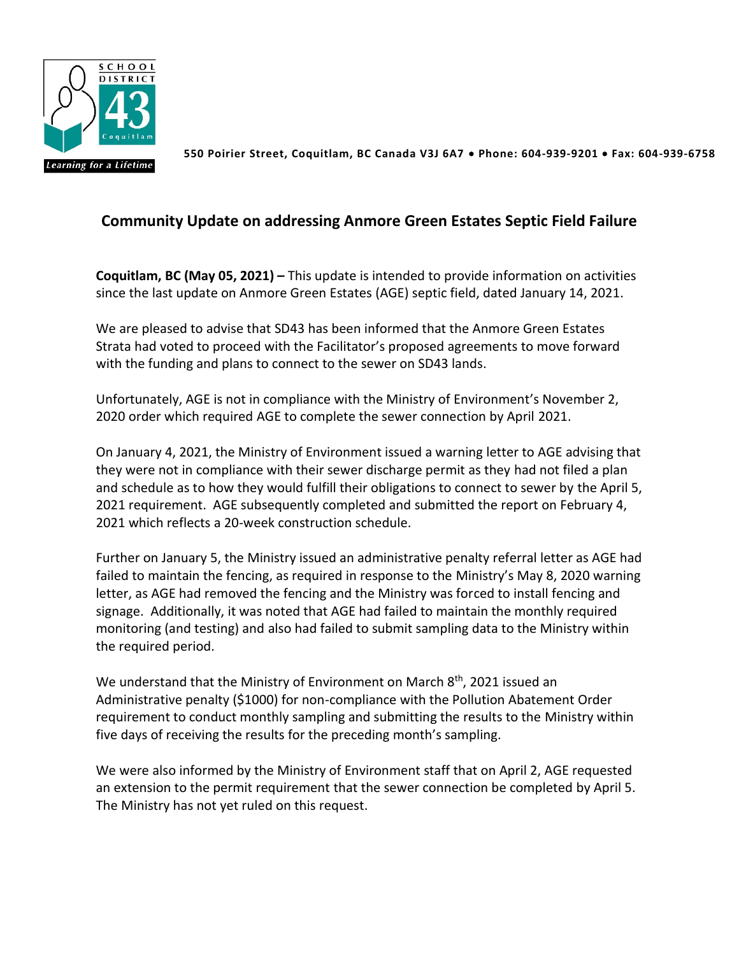

 **550 Poirier Street, Coquitlam, BC Canada V3J 6A7** • **Phone: 604-939-9201** • **Fax: 604-939-6758**

## **Community Update on addressing Anmore Green Estates Septic Field Failure**

**Coquitlam, BC (May 05, 2021) –** This update is intended to provide information on activities since the last update on Anmore Green Estates (AGE) septic field, dated January 14, 2021.

We are pleased to advise that SD43 has been informed that the Anmore Green Estates Strata had voted to proceed with the Facilitator's proposed agreements to move forward with the funding and plans to connect to the sewer on SD43 lands.

Unfortunately, AGE is not in compliance with the Ministry of Environment's November 2, 2020 order which required AGE to complete the sewer connection by April 2021.

On January 4, 2021, the Ministry of Environment issued a warning letter to AGE advising that they were not in compliance with their sewer discharge permit as they had not filed a plan and schedule as to how they would fulfill their obligations to connect to sewer by the April 5, 2021 requirement. AGE subsequently completed and submitted the report on February 4, 2021 which reflects a 20-week construction schedule.

Further on January 5, the Ministry issued an administrative penalty referral letter as AGE had failed to maintain the fencing, as required in response to the Ministry's May 8, 2020 warning letter, as AGE had removed the fencing and the Ministry was forced to install fencing and signage. Additionally, it was noted that AGE had failed to maintain the monthly required monitoring (and testing) and also had failed to submit sampling data to the Ministry within the required period.

We understand that the Ministry of Environment on March  $8<sup>th</sup>$ , 2021 issued an Administrative penalty (\$1000) for non-compliance with the Pollution Abatement Order requirement to conduct monthly sampling and submitting the results to the Ministry within five days of receiving the results for the preceding month's sampling.

We were also informed by the Ministry of Environment staff that on April 2, AGE requested an extension to the permit requirement that the sewer connection be completed by April 5. The Ministry has not yet ruled on this request.